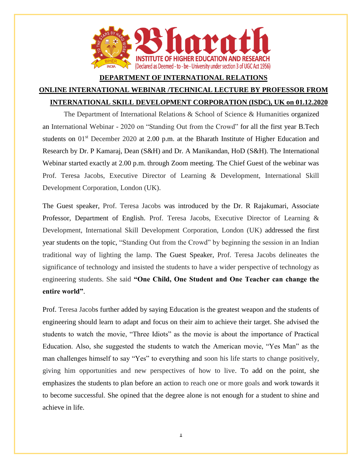

## **DEPARTMENT OF INTERNATIONAL RELATIONS ONLINE INTERNATIONAL WEBINAR /TECHNICAL LECTURE BY PROFESSOR FROM INTERNATIONAL SKILL DEVELOPMENT CORPORATION (ISDC), UK on 01.12.2020**

The Department of International Relations & School of Science & Humanities organized an International Webinar - 2020 on "Standing Out from the Crowd" for all the first year B.Tech students on 01<sup>st</sup> December 2020 at 2.00 p.m. at the Bharath Institute of Higher Education and Research by Dr. P Kamaraj, Dean (S&H) and Dr. A Manikandan, HoD (S&H). The International Webinar started exactly at 2.00 p.m. through Zoom meeting. The Chief Guest of the webinar was Prof. Teresa Jacobs, Executive Director of Learning & Development, International Skill Development Corporation, London (UK).

The Guest speaker, Prof. Teresa Jacobs was introduced by the Dr. R Rajakumari, Associate Professor, Department of English. Prof. Teresa Jacobs, Executive Director of Learning & Development, International Skill Development Corporation, London (UK) addressed the first year students on the topic, "Standing Out from the Crowd" by beginning the session in an Indian traditional way of lighting the lamp. The Guest Speaker, Prof. Teresa Jacobs delineates the significance of technology and insisted the students to have a wider perspective of technology as engineering students. She said **"One Child, One Student and One Teacher can change the entire world"**.

Prof. Teresa Jacobs further added by saying Education is the greatest weapon and the students of engineering should learn to adapt and focus on their aim to achieve their target. She advised the students to watch the movie, "Three Idiots" as the movie is about the importance of Practical Education. Also, she suggested the students to watch the American movie, "Yes Man" as the man challenges himself to say "Yes" to everything and soon his life starts to change positively, giving him opportunities and new perspectives of how to live. To add on the point, she emphasizes the students to plan before an action to reach one or more goals and work towards it to become successful. She opined that the degree alone is not enough for a student to shine and achieve in life.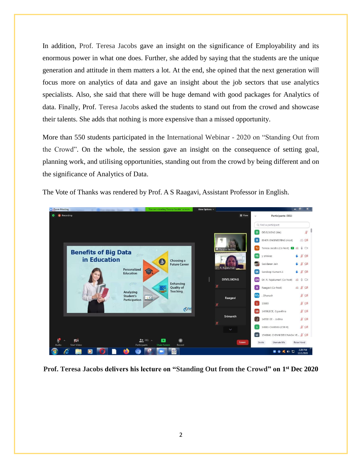In addition, Prof. Teresa Jacobs gave an insight on the significance of Employability and its enormous power in what one does. Further, she added by saying that the students are the unique generation and attitude in them matters a lot. At the end, she opined that the next generation will focus more on analytics of data and gave an insight about the job sectors that use analytics specialists. Also, she said that there will be huge demand with good packages for Analytics of data. Finally, Prof. Teresa Jacobs asked the students to stand out from the crowd and showcase their talents. She adds that nothing is more expensive than a missed opportunity.

More than 550 students participated in the International Webinar - 2020 on "Standing Out from the Crowd". On the whole, the session gave an insight on the consequence of setting goal, planning work, and utilising opportunities, standing out from the crowd by being different and on the significance of Analytics of Data.



The Vote of Thanks was rendered by Prof. A S Raagavi, Assistant Professor in English.

**Prof. Teresa Jacobs delivers his lecture on "Standing Out from the Crowd" on 1 st Dec 2020**